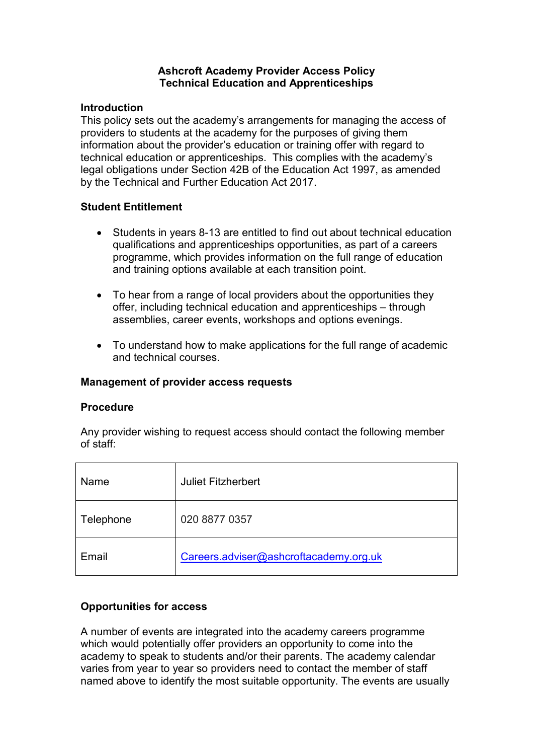#### **Ashcroft Academy Provider Access Policy Technical Education and Apprenticeships**

### **Introduction**

This policy sets out the academy's arrangements for managing the access of providers to students at the academy for the purposes of giving them information about the provider's education or training offer with regard to technical education or apprenticeships. This complies with the academy's legal obligations under Section 42B of the Education Act 1997, as amended by the Technical and Further Education Act 2017.

## **Student Entitlement**

- Students in years 8-13 are entitled to find out about technical education qualifications and apprenticeships opportunities, as part of a careers programme, which provides information on the full range of education and training options available at each transition point.
- To hear from a range of local providers about the opportunities they offer, including technical education and apprenticeships – through assemblies, career events, workshops and options evenings.
- To understand how to make applications for the full range of academic and technical courses.

#### **Management of provider access requests**

#### **Procedure**

Any provider wishing to request access should contact the following member of staff:

| Name      | <b>Juliet Fitzherbert</b>              |
|-----------|----------------------------------------|
| Telephone | 020 8877 0357                          |
| Email     | Careers.adviser@ashcroftacademy.org.uk |

# **Opportunities for access**

A number of events are integrated into the academy careers programme which would potentially offer providers an opportunity to come into the academy to speak to students and/or their parents. The academy calendar varies from year to year so providers need to contact the member of staff named above to identify the most suitable opportunity. The events are usually